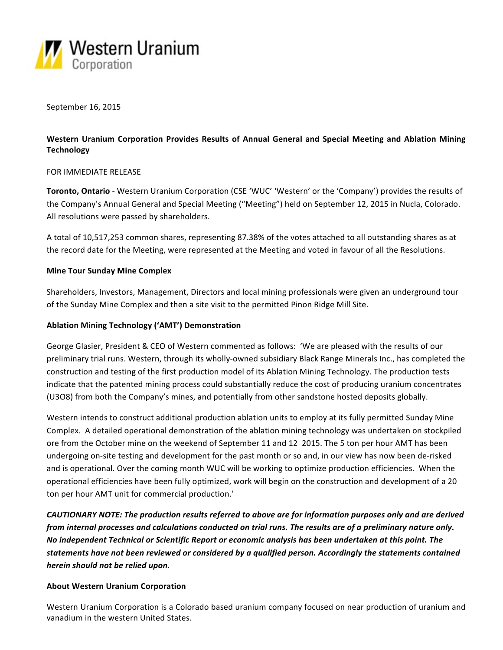

September 16, 2015

# Western Uranium Corporation Provides Results of Annual General and Special Meeting and Ablation Mining **Technology**

# FOR IMMEDIATE RELEASE

**Toronto, Ontario** - Western Uranium Corporation (CSE 'WUC' 'Western' or the 'Company') provides the results of the Company's Annual General and Special Meeting ("Meeting") held on September 12, 2015 in Nucla, Colorado. All resolutions were passed by shareholders.

A total of 10,517,253 common shares, representing 87.38% of the votes attached to all outstanding shares as at the record date for the Meeting, were represented at the Meeting and voted in favour of all the Resolutions.

# **Mine Tour Sunday Mine Complex**

Shareholders, Investors, Management, Directors and local mining professionals were given an underground tour of the Sunday Mine Complex and then a site visit to the permitted Pinon Ridge Mill Site.

## **Ablation Mining Technology ('AMT') Demonstration**

George Glasier, President & CEO of Western commented as follows: 'We are pleased with the results of our preliminary trial runs. Western, through its wholly-owned subsidiary Black Range Minerals Inc., has completed the construction and testing of the first production model of its Ablation Mining Technology. The production tests indicate that the patented mining process could substantially reduce the cost of producing uranium concentrates (U3O8) from both the Company's mines, and potentially from other sandstone hosted deposits globally.

Western intends to construct additional production ablation units to employ at its fully permitted Sunday Mine Complex. A detailed operational demonstration of the ablation mining technology was undertaken on stockpiled ore from the October mine on the weekend of September 11 and 12 2015. The 5 ton per hour AMT has been undergoing on-site testing and development for the past month or so and, in our view has now been de-risked and is operational. Over the coming month WUC will be working to optimize production efficiencies. When the operational efficiencies have been fully optimized, work will begin on the construction and development of a 20 ton per hour AMT unit for commercial production.'

*CAUTIONARY NOTE: The production results referred to above are for information purposes only and are derived from* internal processes and calculations conducted on trial runs. The results are of a preliminary nature only. *No* independent Technical or Scientific Report or economic analysis has been undertaken at this point. The statements have not been reviewed or considered by a qualified person. Accordingly the statements contained *herein should not be relied upon.*

#### **About Western Uranium Corporation**

Western Uranium Corporation is a Colorado based uranium company focused on near production of uranium and vanadium in the western United States.